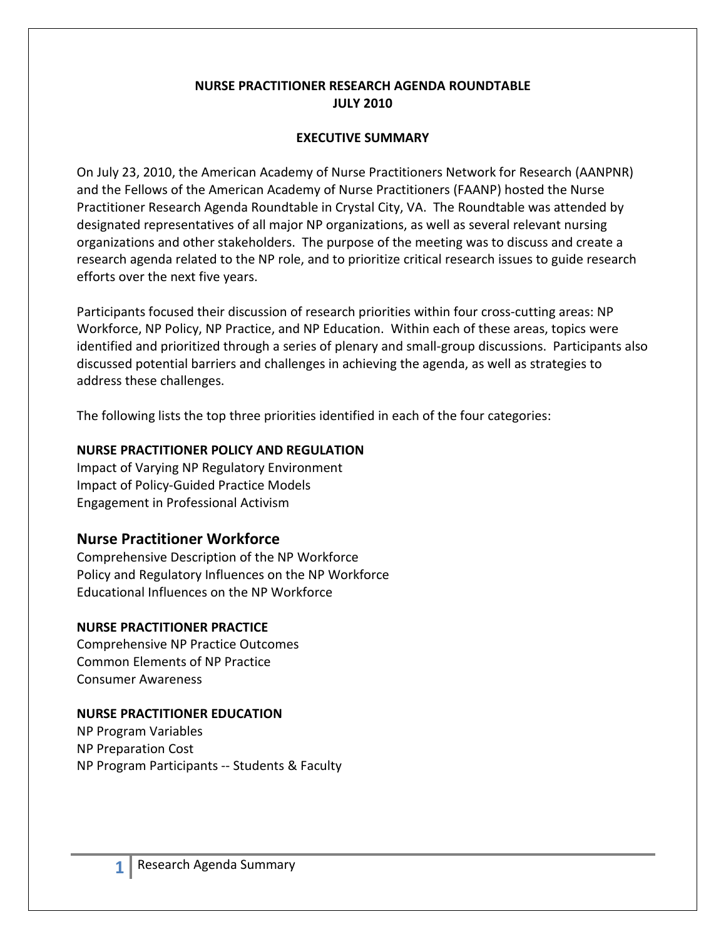#### **NURSE PRACTITIONER RESEARCH AGENDA ROUNDTABLE JULY 2010**

#### **EXECUTIVE SUMMARY**

On July 23, 2010, the American Academy of Nurse Practitioners Network for Research (AANPNR) and the Fellows of the American Academy of Nurse Practitioners (FAANP) hosted the Nurse Practitioner Research Agenda Roundtable in Crystal City, VA. The Roundtable was attended by designated representatives of all major NP organizations, as well as several relevant nursing organizations and other stakeholders. The purpose of the meeting was to discuss and create a research agenda related to the NP role, and to prioritize critical research issues to guide research efforts over the next five years.

Participants focused their discussion of research priorities within four cross-cutting areas: NP Workforce, NP Policy, NP Practice, and NP Education. Within each of these areas, topics were identified and prioritized through a series of plenary and small-group discussions. Participants also discussed potential barriers and challenges in achieving the agenda, as well as strategies to address these challenges.

The following lists the top three priorities identified in each of the four categories:

### **NURSE PRACTITIONER POLICY AND REGULATION**

Impact of Varying NP Regulatory Environment Impact of Policy-Guided Practice Models Engagement in Professional Activism

# **Nurse Practitioner Workforce**

Comprehensive Description of the NP Workforce Policy and Regulatory Influences on the NP Workforce Educational Influences on the NP Workforce

### **NURSE PRACTITIONER PRACTICE**

Comprehensive NP Practice Outcomes Common Elements of NP Practice Consumer Awareness

### **NURSE PRACTITIONER EDUCATION**

NP Program Variables NP Preparation Cost NP Program Participants -- Students & Faculty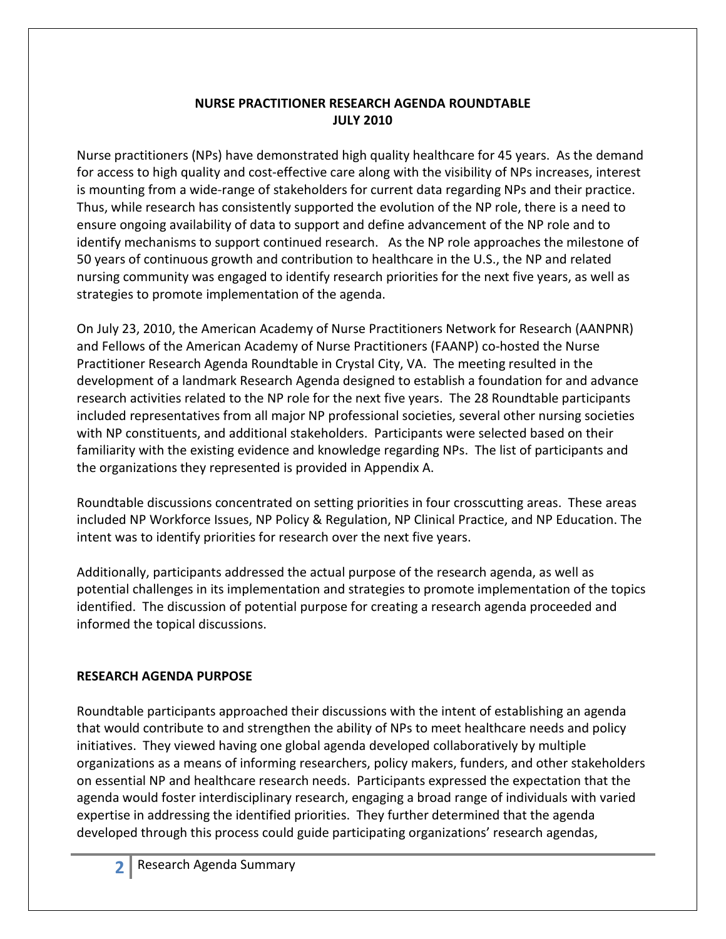### **NURSE PRACTITIONER RESEARCH AGENDA ROUNDTABLE JULY 2010**

Nurse practitioners (NPs) have demonstrated high quality healthcare for 45 years. As the demand for access to high quality and cost-effective care along with the visibility of NPs increases, interest is mounting from a wide-range of stakeholders for current data regarding NPs and their practice. Thus, while research has consistently supported the evolution of the NP role, there is a need to ensure ongoing availability of data to support and define advancement of the NP role and to identify mechanisms to support continued research. As the NP role approaches the milestone of 50 years of continuous growth and contribution to healthcare in the U.S., the NP and related nursing community was engaged to identify research priorities for the next five years, as well as strategies to promote implementation of the agenda.

On July 23, 2010, the American Academy of Nurse Practitioners Network for Research (AANPNR) and Fellows of the American Academy of Nurse Practitioners (FAANP) co-hosted the Nurse Practitioner Research Agenda Roundtable in Crystal City, VA. The meeting resulted in the development of a landmark Research Agenda designed to establish a foundation for and advance research activities related to the NP role for the next five years. The 28 Roundtable participants included representatives from all major NP professional societies, several other nursing societies with NP constituents, and additional stakeholders. Participants were selected based on their familiarity with the existing evidence and knowledge regarding NPs. The list of participants and the organizations they represented is provided in Appendix A.

Roundtable discussions concentrated on setting priorities in four crosscutting areas. These areas included NP Workforce Issues, NP Policy & Regulation, NP Clinical Practice, and NP Education. The intent was to identify priorities for research over the next five years.

Additionally, participants addressed the actual purpose of the research agenda, as well as potential challenges in its implementation and strategies to promote implementation of the topics identified. The discussion of potential purpose for creating a research agenda proceeded and informed the topical discussions.

### **RESEARCH AGENDA PURPOSE**

Roundtable participants approached their discussions with the intent of establishing an agenda that would contribute to and strengthen the ability of NPs to meet healthcare needs and policy initiatives. They viewed having one global agenda developed collaboratively by multiple organizations as a means of informing researchers, policy makers, funders, and other stakeholders on essential NP and healthcare research needs. Participants expressed the expectation that the agenda would foster interdisciplinary research, engaging a broad range of individuals with varied expertise in addressing the identified priorities. They further determined that the agenda developed through this process could guide participating organizations' research agendas,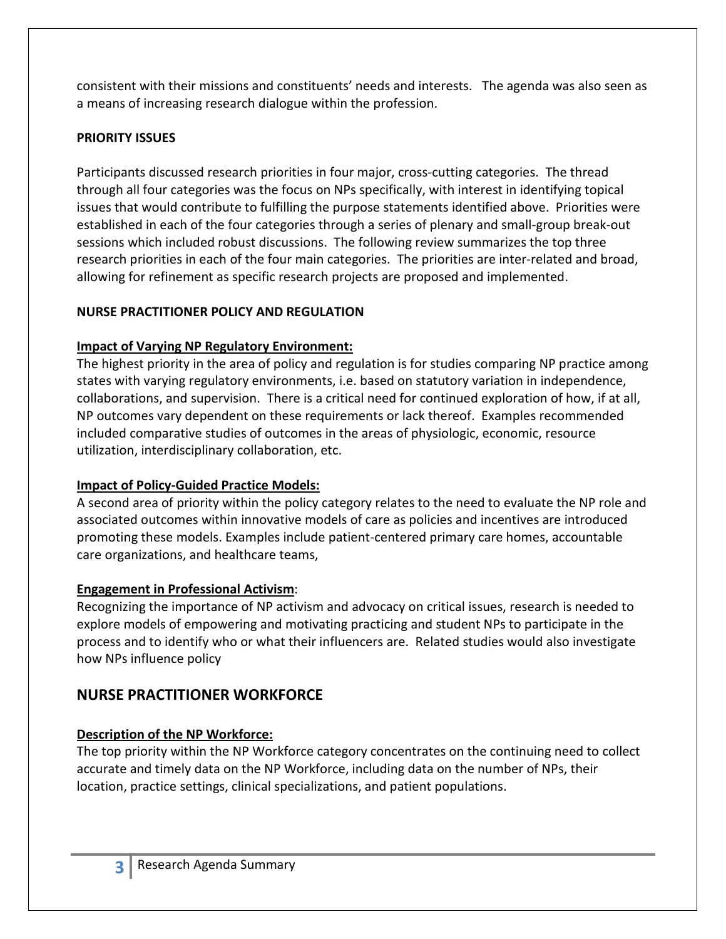consistent with their missions and constituents' needs and interests. The agenda was also seen as a means of increasing research dialogue within the profession.

# **PRIORITY ISSUES**

Participants discussed research priorities in four major, cross-cutting categories. The thread through all four categories was the focus on NPs specifically, with interest in identifying topical issues that would contribute to fulfilling the purpose statements identified above. Priorities were established in each of the four categories through a series of plenary and small-group break-out sessions which included robust discussions. The following review summarizes the top three research priorities in each of the four main categories. The priorities are inter-related and broad, allowing for refinement as specific research projects are proposed and implemented.

# **NURSE PRACTITIONER POLICY AND REGULATION**

# **Impact of Varying NP Regulatory Environment:**

The highest priority in the area of policy and regulation is for studies comparing NP practice among states with varying regulatory environments, i.e. based on statutory variation in independence, collaborations, and supervision. There is a critical need for continued exploration of how, if at all, NP outcomes vary dependent on these requirements or lack thereof. Examples recommended included comparative studies of outcomes in the areas of physiologic, economic, resource utilization, interdisciplinary collaboration, etc.

# **Impact of Policy-Guided Practice Models:**

A second area of priority within the policy category relates to the need to evaluate the NP role and associated outcomes within innovative models of care as policies and incentives are introduced promoting these models. Examples include patient-centered primary care homes, accountable care organizations, and healthcare teams,

# **Engagement in Professional Activism**:

Recognizing the importance of NP activism and advocacy on critical issues, research is needed to explore models of empowering and motivating practicing and student NPs to participate in the process and to identify who or what their influencers are. Related studies would also investigate how NPs influence policy

# **NURSE PRACTITIONER WORKFORCE**

# **Description of the NP Workforce:**

The top priority within the NP Workforce category concentrates on the continuing need to collect accurate and timely data on the NP Workforce, including data on the number of NPs, their location, practice settings, clinical specializations, and patient populations.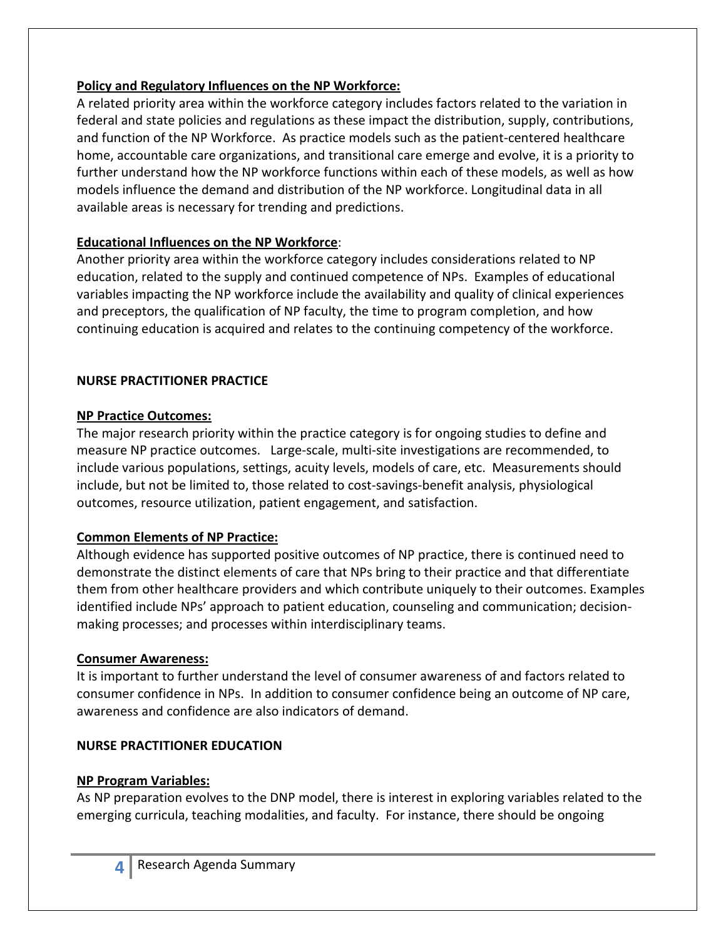### **Policy and Regulatory Influences on the NP Workforce:**

A related priority area within the workforce category includes factors related to the variation in federal and state policies and regulations as these impact the distribution, supply, contributions, and function of the NP Workforce. As practice models such as the patient-centered healthcare home, accountable care organizations, and transitional care emerge and evolve, it is a priority to further understand how the NP workforce functions within each of these models, as well as how models influence the demand and distribution of the NP workforce. Longitudinal data in all available areas is necessary for trending and predictions.

# **Educational Influences on the NP Workforce**:

Another priority area within the workforce category includes considerations related to NP education, related to the supply and continued competence of NPs. Examples of educational variables impacting the NP workforce include the availability and quality of clinical experiences and preceptors, the qualification of NP faculty, the time to program completion, and how continuing education is acquired and relates to the continuing competency of the workforce.

# **NURSE PRACTITIONER PRACTICE**

### **NP Practice Outcomes:**

The major research priority within the practice category is for ongoing studies to define and measure NP practice outcomes. Large-scale, multi-site investigations are recommended, to include various populations, settings, acuity levels, models of care, etc. Measurements should include, but not be limited to, those related to cost-savings-benefit analysis, physiological outcomes, resource utilization, patient engagement, and satisfaction.

# **Common Elements of NP Practice:**

Although evidence has supported positive outcomes of NP practice, there is continued need to demonstrate the distinct elements of care that NPs bring to their practice and that differentiate them from other healthcare providers and which contribute uniquely to their outcomes. Examples identified include NPs' approach to patient education, counseling and communication; decisionmaking processes; and processes within interdisciplinary teams.

# **Consumer Awareness:**

It is important to further understand the level of consumer awareness of and factors related to consumer confidence in NPs. In addition to consumer confidence being an outcome of NP care, awareness and confidence are also indicators of demand.

# **NURSE PRACTITIONER EDUCATION**

# **NP Program Variables:**

As NP preparation evolves to the DNP model, there is interest in exploring variables related to the emerging curricula, teaching modalities, and faculty. For instance, there should be ongoing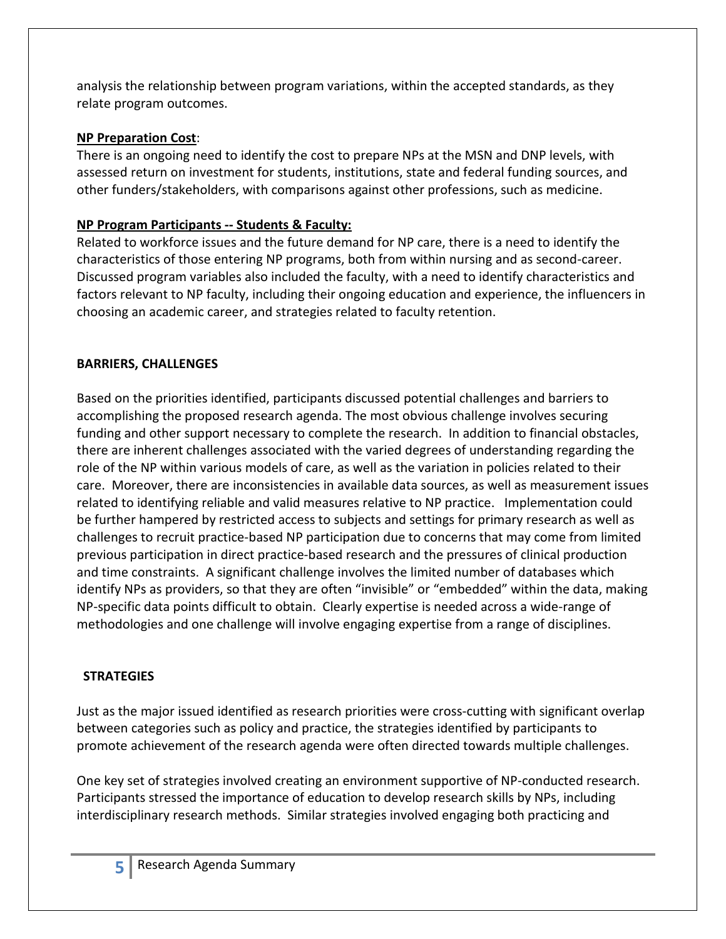analysis the relationship between program variations, within the accepted standards, as they relate program outcomes.

# **NP Preparation Cost**:

There is an ongoing need to identify the cost to prepare NPs at the MSN and DNP levels, with assessed return on investment for students, institutions, state and federal funding sources, and other funders/stakeholders, with comparisons against other professions, such as medicine.

# **NP Program Participants -- Students & Faculty:**

Related to workforce issues and the future demand for NP care, there is a need to identify the characteristics of those entering NP programs, both from within nursing and as second-career. Discussed program variables also included the faculty, with a need to identify characteristics and factors relevant to NP faculty, including their ongoing education and experience, the influencers in choosing an academic career, and strategies related to faculty retention.

# **BARRIERS, CHALLENGES**

Based on the priorities identified, participants discussed potential challenges and barriers to accomplishing the proposed research agenda. The most obvious challenge involves securing funding and other support necessary to complete the research. In addition to financial obstacles, there are inherent challenges associated with the varied degrees of understanding regarding the role of the NP within various models of care, as well as the variation in policies related to their care. Moreover, there are inconsistencies in available data sources, as well as measurement issues related to identifying reliable and valid measures relative to NP practice. Implementation could be further hampered by restricted access to subjects and settings for primary research as well as challenges to recruit practice-based NP participation due to concerns that may come from limited previous participation in direct practice-based research and the pressures of clinical production and time constraints. A significant challenge involves the limited number of databases which identify NPs as providers, so that they are often "invisible" or "embedded" within the data, making NP-specific data points difficult to obtain. Clearly expertise is needed across a wide-range of methodologies and one challenge will involve engaging expertise from a range of disciplines.

# **STRATEGIES**

Just as the major issued identified as research priorities were cross-cutting with significant overlap between categories such as policy and practice, the strategies identified by participants to promote achievement of the research agenda were often directed towards multiple challenges.

One key set of strategies involved creating an environment supportive of NP-conducted research. Participants stressed the importance of education to develop research skills by NPs, including interdisciplinary research methods. Similar strategies involved engaging both practicing and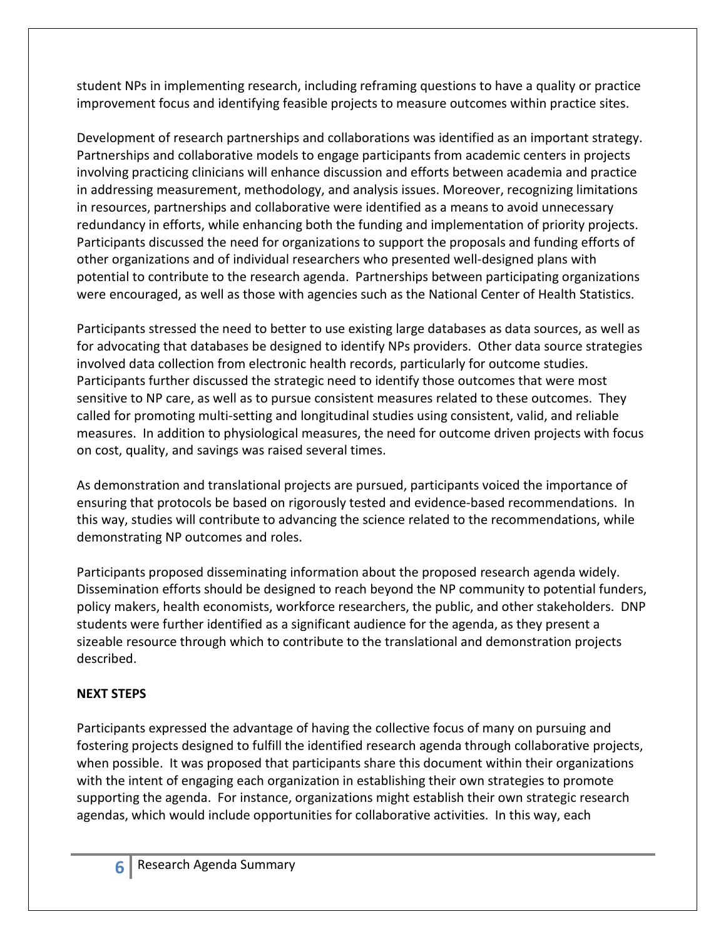student NPs in implementing research, including reframing questions to have a quality or practice improvement focus and identifying feasible projects to measure outcomes within practice sites.

Development of research partnerships and collaborations was identified as an important strategy. Partnerships and collaborative models to engage participants from academic centers in projects involving practicing clinicians will enhance discussion and efforts between academia and practice in addressing measurement, methodology, and analysis issues. Moreover, recognizing limitations in resources, partnerships and collaborative were identified as a means to avoid unnecessary redundancy in efforts, while enhancing both the funding and implementation of priority projects. Participants discussed the need for organizations to support the proposals and funding efforts of other organizations and of individual researchers who presented well-designed plans with potential to contribute to the research agenda. Partnerships between participating organizations were encouraged, as well as those with agencies such as the National Center of Health Statistics.

Participants stressed the need to better to use existing large databases as data sources, as well as for advocating that databases be designed to identify NPs providers. Other data source strategies involved data collection from electronic health records, particularly for outcome studies. Participants further discussed the strategic need to identify those outcomes that were most sensitive to NP care, as well as to pursue consistent measures related to these outcomes. They called for promoting multi-setting and longitudinal studies using consistent, valid, and reliable measures. In addition to physiological measures, the need for outcome driven projects with focus on cost, quality, and savings was raised several times.

As demonstration and translational projects are pursued, participants voiced the importance of ensuring that protocols be based on rigorously tested and evidence-based recommendations. In this way, studies will contribute to advancing the science related to the recommendations, while demonstrating NP outcomes and roles.

Participants proposed disseminating information about the proposed research agenda widely. Dissemination efforts should be designed to reach beyond the NP community to potential funders, policy makers, health economists, workforce researchers, the public, and other stakeholders. DNP students were further identified as a significant audience for the agenda, as they present a sizeable resource through which to contribute to the translational and demonstration projects described.

# **NEXT STEPS**

Participants expressed the advantage of having the collective focus of many on pursuing and fostering projects designed to fulfill the identified research agenda through collaborative projects, when possible. It was proposed that participants share this document within their organizations with the intent of engaging each organization in establishing their own strategies to promote supporting the agenda. For instance, organizations might establish their own strategic research agendas, which would include opportunities for collaborative activities. In this way, each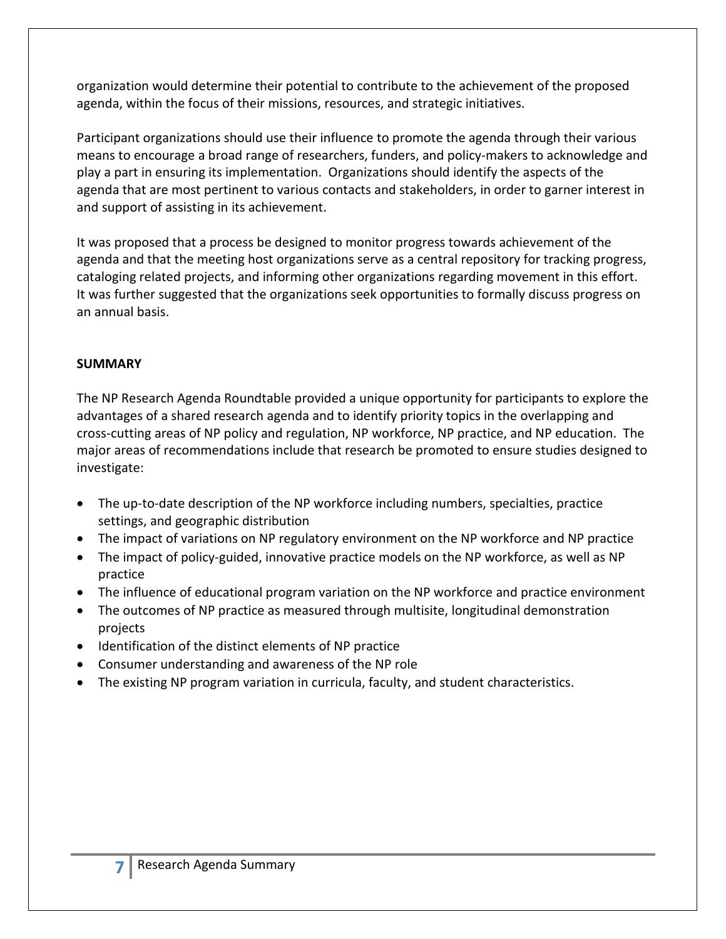organization would determine their potential to contribute to the achievement of the proposed agenda, within the focus of their missions, resources, and strategic initiatives.

Participant organizations should use their influence to promote the agenda through their various means to encourage a broad range of researchers, funders, and policy-makers to acknowledge and play a part in ensuring its implementation. Organizations should identify the aspects of the agenda that are most pertinent to various contacts and stakeholders, in order to garner interest in and support of assisting in its achievement.

It was proposed that a process be designed to monitor progress towards achievement of the agenda and that the meeting host organizations serve as a central repository for tracking progress, cataloging related projects, and informing other organizations regarding movement in this effort. It was further suggested that the organizations seek opportunities to formally discuss progress on an annual basis.

### **SUMMARY**

The NP Research Agenda Roundtable provided a unique opportunity for participants to explore the advantages of a shared research agenda and to identify priority topics in the overlapping and cross-cutting areas of NP policy and regulation, NP workforce, NP practice, and NP education. The major areas of recommendations include that research be promoted to ensure studies designed to investigate:

- The up-to-date description of the NP workforce including numbers, specialties, practice settings, and geographic distribution
- The impact of variations on NP regulatory environment on the NP workforce and NP practice
- The impact of policy-guided, innovative practice models on the NP workforce, as well as NP practice
- The influence of educational program variation on the NP workforce and practice environment
- The outcomes of NP practice as measured through multisite, longitudinal demonstration projects
- Identification of the distinct elements of NP practice
- Consumer understanding and awareness of the NP role
- The existing NP program variation in curricula, faculty, and student characteristics.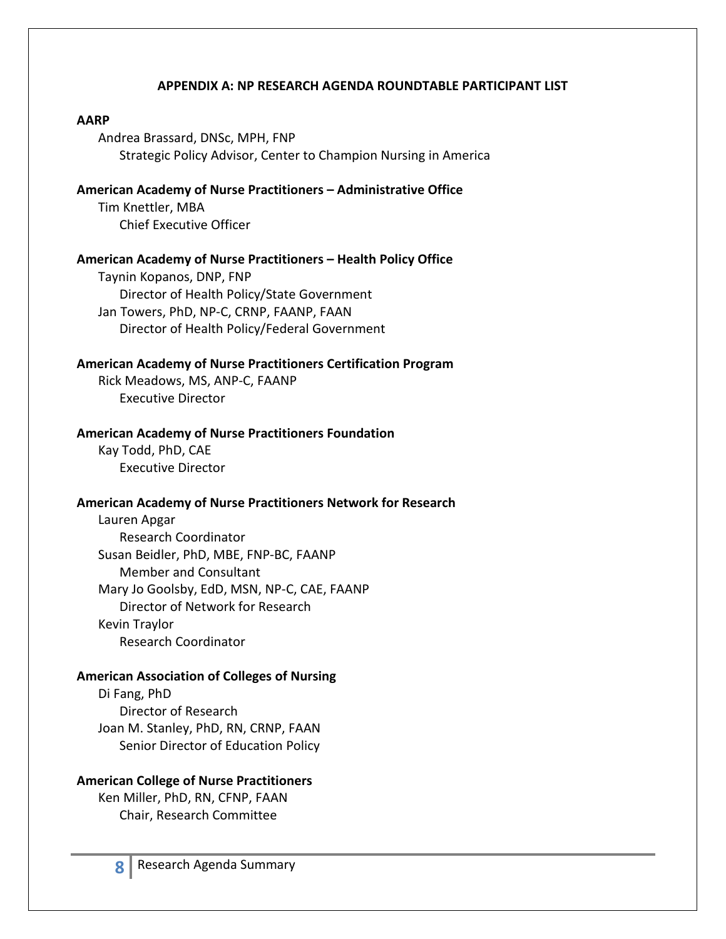#### **APPENDIX A: NP RESEARCH AGENDA ROUNDTABLE PARTICIPANT LIST**

#### **AARP**

Andrea Brassard, DNSc, MPH, FNP Strategic Policy Advisor, Center to Champion Nursing in America

# **American Academy of Nurse Practitioners – Administrative Office**

Tim Knettler, MBA Chief Executive Officer

#### **American Academy of Nurse Practitioners – Health Policy Office**

Taynin Kopanos, DNP, FNP Director of Health Policy/State Government Jan Towers, PhD, NP-C, CRNP, FAANP, FAAN Director of Health Policy/Federal Government

#### **American Academy of Nurse Practitioners Certification Program**

Rick Meadows, MS, ANP-C, FAANP Executive Director

#### **American Academy of Nurse Practitioners Foundation**

Kay Todd, PhD, CAE Executive Director

#### **American Academy of Nurse Practitioners Network for Research**

Lauren Apgar Research Coordinator Susan Beidler, PhD, MBE, FNP-BC, FAANP Member and Consultant Mary Jo Goolsby, EdD, MSN, NP-C, CAE, FAANP Director of Network for Research Kevin Traylor Research Coordinator

#### **American Association of Colleges of Nursing**

Di Fang, PhD Director of Research Joan M. Stanley, PhD, RN, CRNP, FAAN Senior Director of Education Policy

#### **American College of Nurse Practitioners**

Ken Miller, PhD, RN, CFNP, FAAN Chair, Research Committee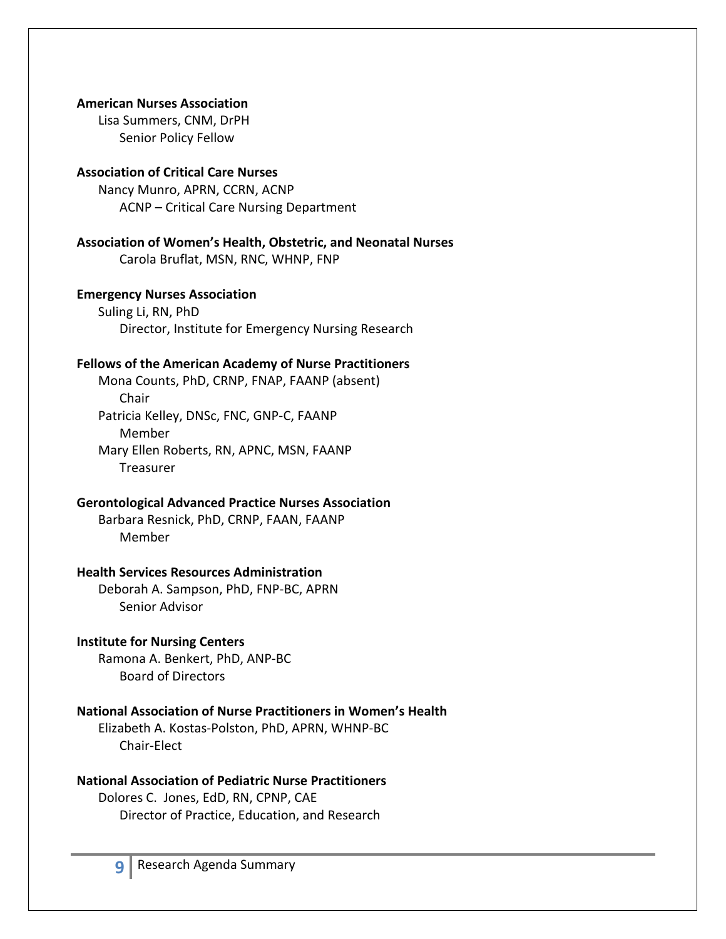#### **American Nurses Association**

Lisa Summers, CNM, DrPH Senior Policy Fellow

#### **Association of Critical Care Nurses**

Nancy Munro, APRN, CCRN, ACNP ACNP – Critical Care Nursing Department

**Association of Women's Health, Obstetric, and Neonatal Nurses** Carola Bruflat, MSN, RNC, WHNP, FNP

#### **Emergency Nurses Association**

Suling Li, RN, PhD Director, Institute for Emergency Nursing Research

#### **Fellows of the American Academy of Nurse Practitioners**

Mona Counts, PhD, CRNP, FNAP, FAANP (absent) Chair Patricia Kelley, DNSc, FNC, GNP-C, FAANP Member Mary Ellen Roberts, RN, APNC, MSN, FAANP Treasurer

#### **Gerontological Advanced Practice Nurses Association**

Barbara Resnick, PhD, CRNP, FAAN, FAANP Member

#### **Health Services Resources Administration**

Deborah A. Sampson, PhD, FNP-BC, APRN Senior Advisor

#### **Institute for Nursing Centers**

Ramona A. Benkert, PhD, ANP-BC Board of Directors

#### **National Association of Nurse Practitioners in Women's Health**

Elizabeth A. Kostas-Polston, PhD, APRN, WHNP-BC Chair-Elect

#### **National Association of Pediatric Nurse Practitioners**

Dolores C. Jones, EdD, RN, CPNP, CAE Director of Practice, Education, and Research